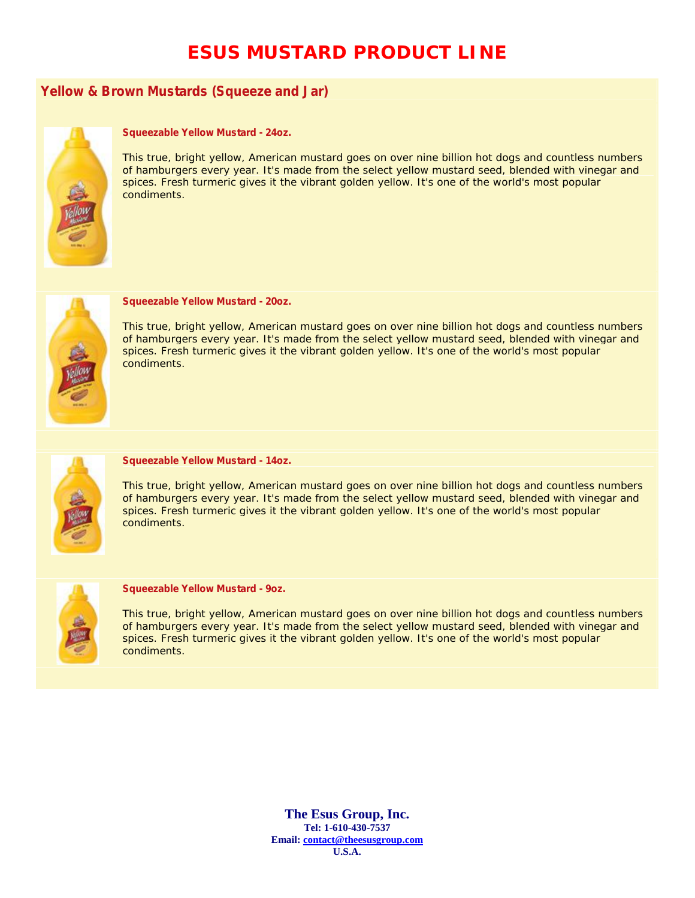# **ESUS MUSTARD PRODUCT LINE**

## **Yellow & Brown Mustards (Squeeze and Jar)**



### **Squeezable Yellow Mustard - 24oz.**

This true, bright yellow, American mustard goes on over nine billion hot dogs and countless numbers of hamburgers every year. It's made from the select yellow mustard seed, blended with vinegar and spices. Fresh turmeric gives it the vibrant golden yellow. It's one of the world's most popular condiments.



### **Squeezable Yellow Mustard - 20oz.**

This true, bright yellow, American mustard goes on over nine billion hot dogs and countless numbers of hamburgers every year. It's made from the select yellow mustard seed, blended with vinegar and spices. Fresh turmeric gives it the vibrant golden yellow. It's one of the world's most popular condiments.



#### **Squeezable Yellow Mustard - 14oz.**

This true, bright yellow, American mustard goes on over nine billion hot dogs and countless numbers of hamburgers every year. It's made from the select yellow mustard seed, blended with vinegar and spices. Fresh turmeric gives it the vibrant golden yellow. It's one of the world's most popular condiments.



#### **Squeezable Yellow Mustard - 9oz.**

This true, bright yellow, American mustard goes on over nine billion hot dogs and countless numbers of hamburgers every year. It's made from the select yellow mustard seed, blended with vinegar and spices. Fresh turmeric gives it the vibrant golden yellow. It's one of the world's most popular condiments.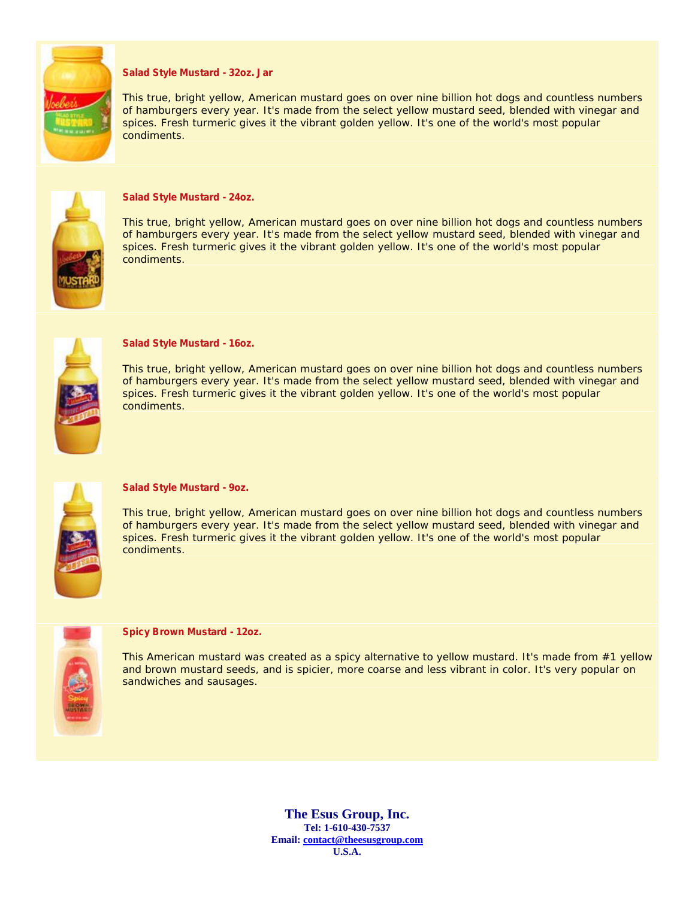

## **Salad Style Mustard - 32oz. Jar**

This true, bright yellow, American mustard goes on over nine billion hot dogs and countless numbers of hamburgers every year. It's made from the select yellow mustard seed, blended with vinegar and spices. Fresh turmeric gives it the vibrant golden yellow. It's one of the world's most popular condiments.



#### **Salad Style Mustard - 24oz.**

This true, bright yellow, American mustard goes on over nine billion hot dogs and countless numbers of hamburgers every year. It's made from the select yellow mustard seed, blended with vinegar and spices. Fresh turmeric gives it the vibrant golden yellow. It's one of the world's most popular condiments.



#### **Salad Style Mustard - 16oz.**

This true, bright yellow, American mustard goes on over nine billion hot dogs and countless numbers of hamburgers every year. It's made from the select yellow mustard seed, blended with vinegar and spices. Fresh turmeric gives it the vibrant golden yellow. It's one of the world's most popular condiments.



#### **Salad Style Mustard - 9oz.**

This true, bright yellow, American mustard goes on over nine billion hot dogs and countless numbers of hamburgers every year. It's made from the select yellow mustard seed, blended with vinegar and spices. Fresh turmeric gives it the vibrant golden yellow. It's one of the world's most popular condiments.



#### **Spicy Brown Mustard - 12oz.**

This American mustard was created as a spicy alternative to yellow mustard. It's made from #1 yellow and brown mustard seeds, and is spicier, more coarse and less vibrant in color. It's very popular on sandwiches and sausages.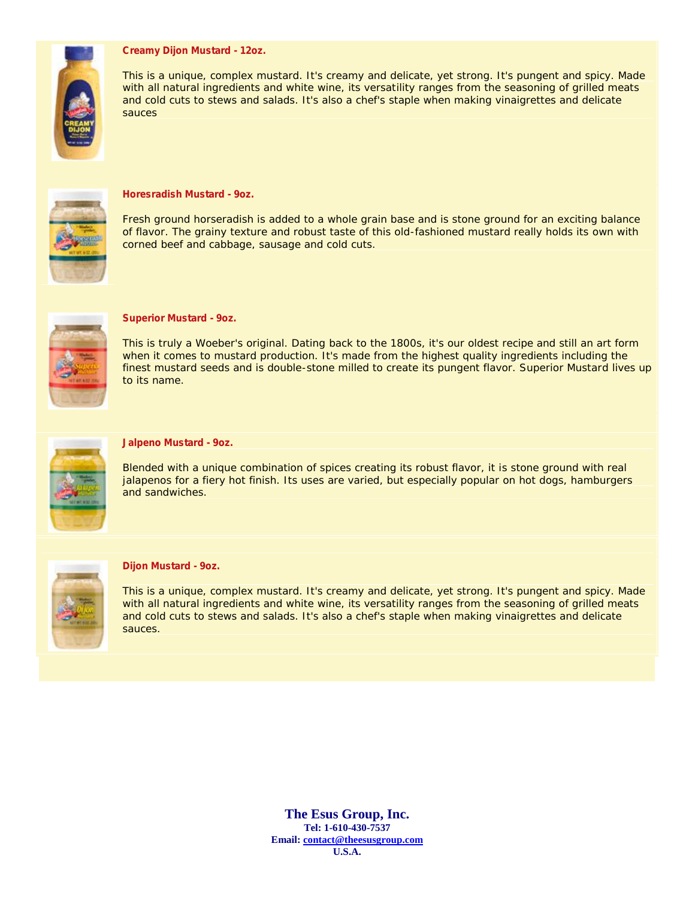## **Creamy Dijon Mustard - 12oz.**



This is a unique, complex mustard. It's creamy and delicate, yet strong. It's pungent and spicy. Made with all natural ingredients and white wine, its versatility ranges from the seasoning of grilled meats and cold cuts to stews and salads. It's also a chef's staple when making vinaigrettes and delicate sauces



#### **Horesradish Mustard - 9oz.**

Fresh ground horseradish is added to a whole grain base and is stone ground for an exciting balance of flavor. The grainy texture and robust taste of this old-fashioned mustard really holds its own with corned beef and cabbage, sausage and cold cuts.



### **Superior Mustard - 9oz.**

This is truly a Woeber's original. Dating back to the 1800s, it's our oldest recipe and still an art form when it comes to mustard production. It's made from the highest quality ingredients including the finest mustard seeds and is double-stone milled to create its pungent flavor. Superior Mustard lives up to its name.



### **Jalpeno Mustard - 9oz.**

Blended with a unique combination of spices creating its robust flavor, it is stone ground with real jalapenos for a fiery hot finish. Its uses are varied, but especially popular on hot dogs, hamburgers and sandwiches.



#### **Dijon Mustard - 9oz.**

This is a unique, complex mustard. It's creamy and delicate, yet strong. It's pungent and spicy. Made with all natural ingredients and white wine, its versatility ranges from the seasoning of grilled meats and cold cuts to stews and salads. It's also a chef's staple when making vinaigrettes and delicate sauces.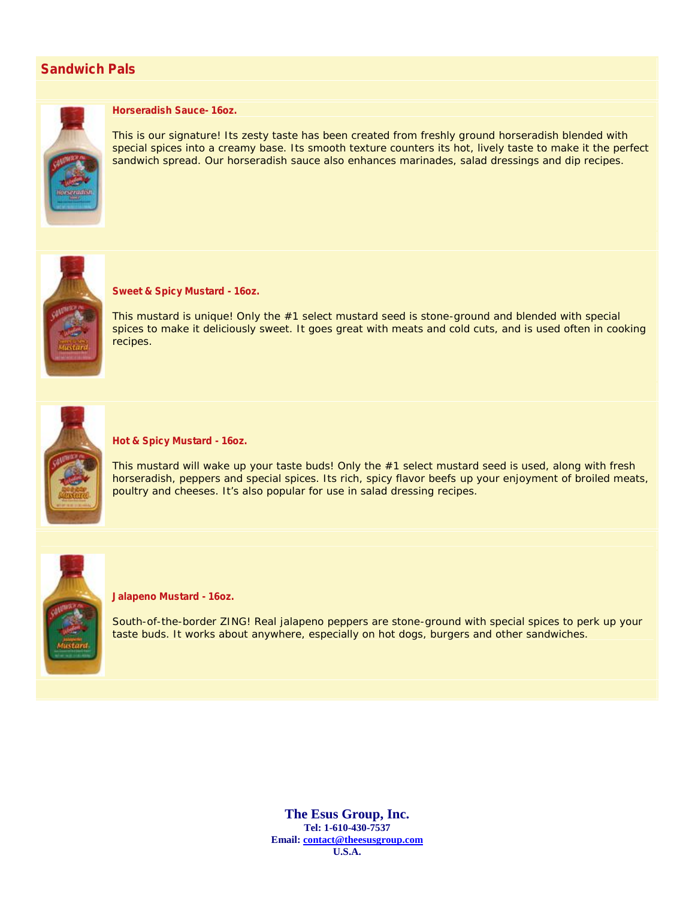## **Sandwich Pals**



## **Horseradish Sauce- 16oz.**

This is our signature! Its zesty taste has been created from freshly ground horseradish blended with special spices into a creamy base. Its smooth texture counters its hot, lively taste to make it the perfect sandwich spread. Our horseradish sauce also enhances marinades, salad dressings and dip recipes.



## **Sweet & Spicy Mustard - 16oz.**

This mustard is unique! Only the #1 select mustard seed is stone-ground and blended with special spices to make it deliciously sweet. It goes great with meats and cold cuts, and is used often in cooking recipes.



### **Hot & Spicy Mustard - 16oz.**

This mustard will wake up your taste buds! Only the #1 select mustard seed is used, along with fresh horseradish, peppers and special spices. Its rich, spicy flavor beefs up your enjoyment of broiled meats, poultry and cheeses. It's also popular for use in salad dressing recipes.



### **Jalapeno Mustard - 16oz.**

South-of-the-border ZING! Real jalapeno peppers are stone-ground with special spices to perk up your taste buds. It works about anywhere, especially on hot dogs, burgers and other sandwiches.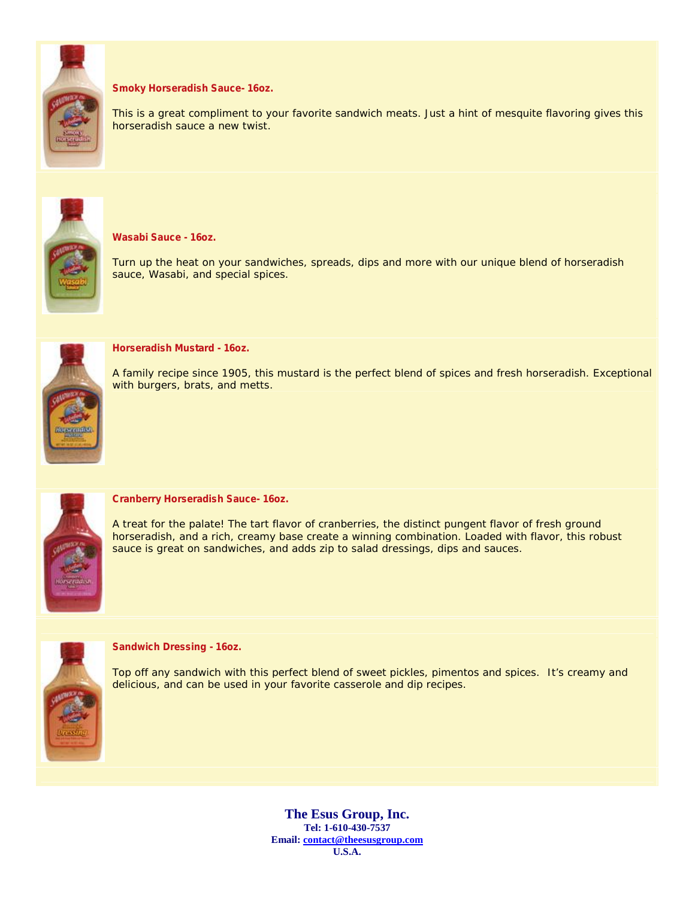

## **Smoky Horseradish Sauce- 16oz.**

This is a great compliment to your favorite sandwich meats. Just a hint of mesquite flavoring gives this horseradish sauce a new twist.



## **Wasabi Sauce - 16oz.**

Turn up the heat on your sandwiches, spreads, dips and more with our unique blend of horseradish sauce, Wasabi, and special spices.



#### **Horseradish Mustard - 16oz.**

A family recipe since 1905, this mustard is the perfect blend of spices and fresh horseradish. Exceptional with burgers, brats, and metts.



#### **Cranberry Horseradish Sauce- 16oz.**

A treat for the palate! The tart flavor of cranberries, the distinct pungent flavor of fresh ground horseradish, and a rich, creamy base create a winning combination. Loaded with flavor, this robust sauce is great on sandwiches, and adds zip to salad dressings, dips and sauces.



#### **Sandwich Dressing - 16oz.**

Top off any sandwich with this perfect blend of sweet pickles, pimentos and spices. It's creamy and delicious, and can be used in your favorite casserole and dip recipes.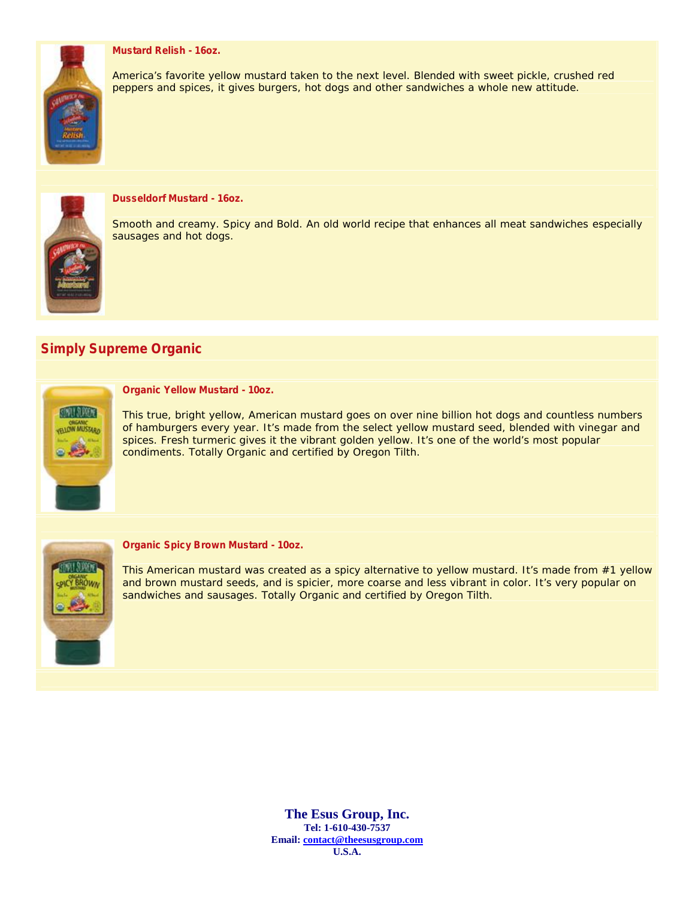## **Mustard Relish - 16oz.**







## **Dusseldorf Mustard - 16oz.**

Smooth and creamy. Spicy and Bold. An old world recipe that enhances all meat sandwiches especially sausages and hot dogs.

## **Simply Supreme Organic**



#### **Organic Yellow Mustard - 10oz.**

This true, bright yellow, American mustard goes on over nine billion hot dogs and countless numbers of hamburgers every year. It's made from the select yellow mustard seed, blended with vinegar and spices. Fresh turmeric gives it the vibrant golden yellow. It's one of the world's most popular condiments. Totally Organic and certified by Oregon Tilth.



#### **Organic Spicy Brown Mustard - 10oz.**

This American mustard was created as a spicy alternative to yellow mustard. It's made from #1 yellow and brown mustard seeds, and is spicier, more coarse and less vibrant in color. It's very popular on sandwiches and sausages. Totally Organic and certified by Oregon Tilth.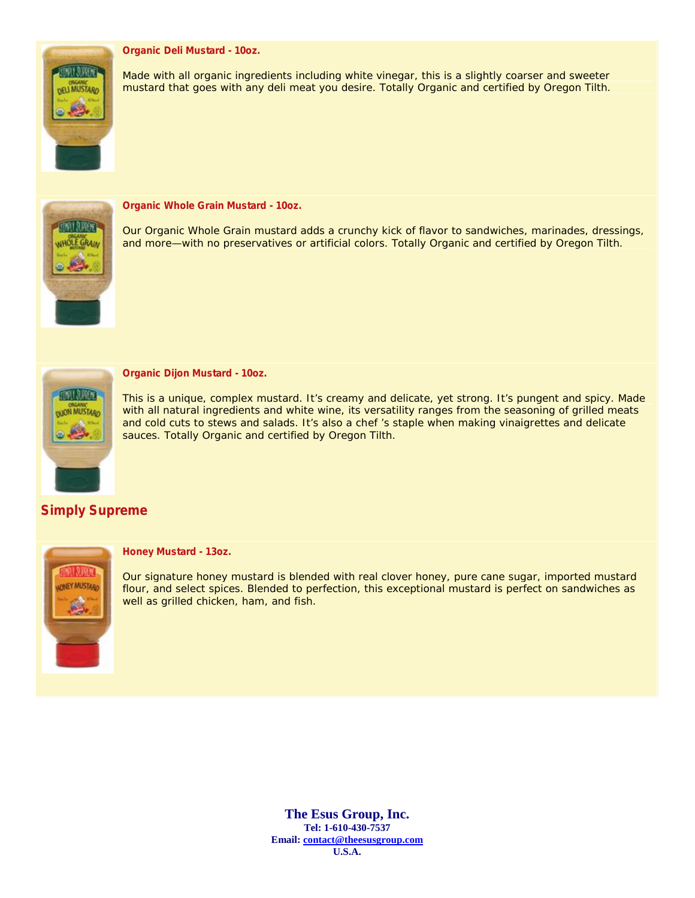## **Organic Deli Mustard - 10oz.**



Made with all organic ingredients including white vinegar, this is a slightly coarser and sweeter mustard that goes with any deli meat you desire. Totally Organic and certified by Oregon Tilth.



**Organic Whole Grain Mustard - 10oz.**

Our Organic Whole Grain mustard adds a crunchy kick of flavor to sandwiches, marinades, dressings, and more—with no preservatives or artificial colors. Totally Organic and certified by Oregon Tilth.



## **Organic Dijon Mustard - 10oz.**

This is a unique, complex mustard. It's creamy and delicate, yet strong. It's pungent and spicy. Made with all natural ingredients and white wine, its versatility ranges from the seasoning of grilled meats and cold cuts to stews and salads. It's also a chef 's staple when making vinaigrettes and delicate sauces. Totally Organic and certified by Oregon Tilth.

## **Simply Supreme**



## **Honey Mustard - 13oz.**

Our signature honey mustard is blended with real clover honey, pure cane sugar, imported mustard flour, and select spices. Blended to perfection, this exceptional mustard is perfect on sandwiches as well as grilled chicken, ham, and fish.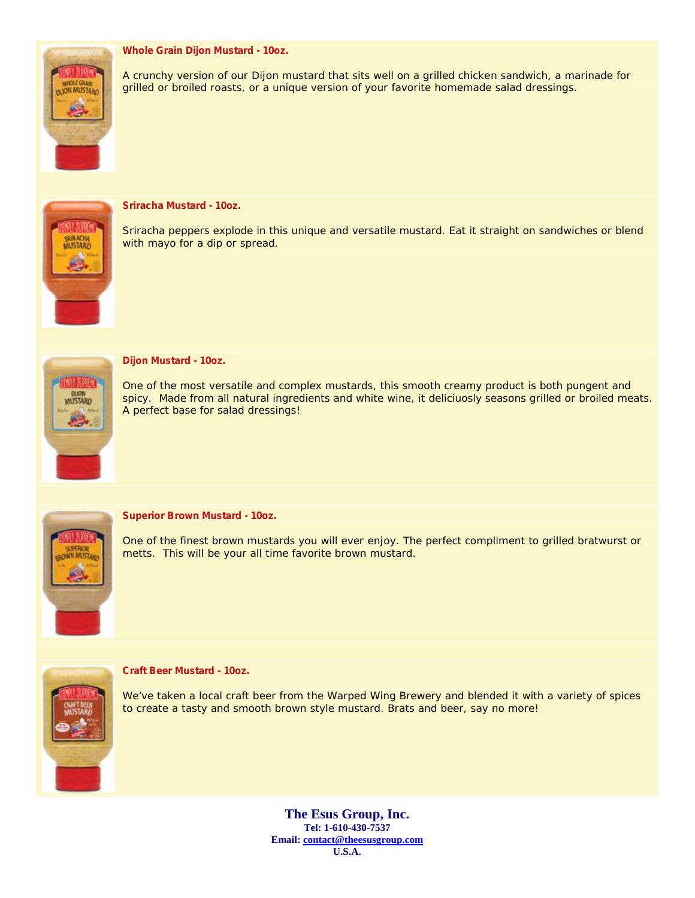## **Whole Grain Dijon Mustard - 10oz.**



A crunchy version of our Dijon mustard that sits well on a grilled chicken sandwich, a marinade for grilled or broiled roasts, or a unique version of your favorite homemade salad dressings.



## **Sriracha Mustard - 10oz.**

Sriracha peppers explode in this unique and versatile mustard. Eat it straight on sandwiches or blend with mayo for a dip or spread.



### **Dijon Mustard - 10oz.**

One of the most versatile and complex mustards, this smooth creamy product is both pungent and spicy. Made from all natural ingredients and white wine, it deliciuosly seasons grilled or broiled meats. A perfect base for salad dressings!



### **Superior Brown Mustard - 10oz.**

One of the finest brown mustards you will ever enjoy. The perfect compliment to grilled bratwurst or metts. This will be your all time favorite brown mustard.



### **Craft Beer Mustard - 10oz.**

We've taken a local craft beer from the Warped Wing Brewery and blended it with a variety of spices to create a tasty and smooth brown style mustard. Brats and beer, say no more!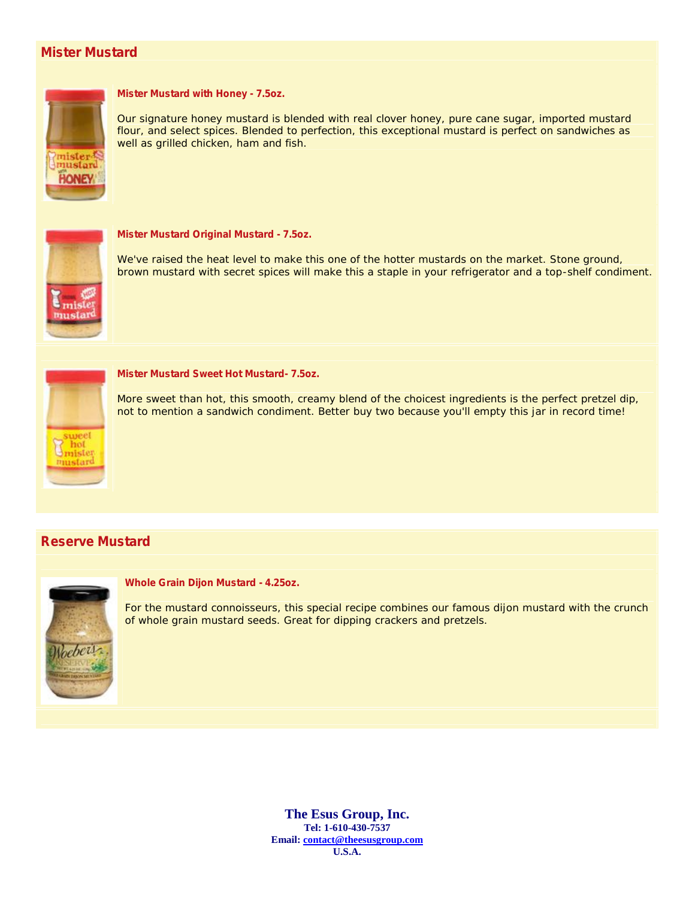## **Mister Mustard**



## **Mister Mustard with Honey - 7.5oz.**

Our signature honey mustard is blended with real clover honey, pure cane sugar, imported mustard flour, and select spices. Blended to perfection, this exceptional mustard is perfect on sandwiches as well as grilled chicken, ham and fish.



#### **Mister Mustard Original Mustard - 7.5oz.**

We've raised the heat level to make this one of the hotter mustards on the market. Stone ground, brown mustard with secret spices will make this a staple in your refrigerator and a top-shelf condiment.



#### **Mister Mustard Sweet Hot Mustard- 7.5oz.**

More sweet than hot, this smooth, creamy blend of the choicest ingredients is the perfect pretzel dip, not to mention a sandwich condiment. Better buy two because you'll empty this jar in record time!

## **Reserve Mustard**



## **Whole Grain Dijon Mustard - 4.25oz.**

For the mustard connoisseurs, this special recipe combines our famous dijon mustard with the crunch of whole grain mustard seeds. Great for dipping crackers and pretzels.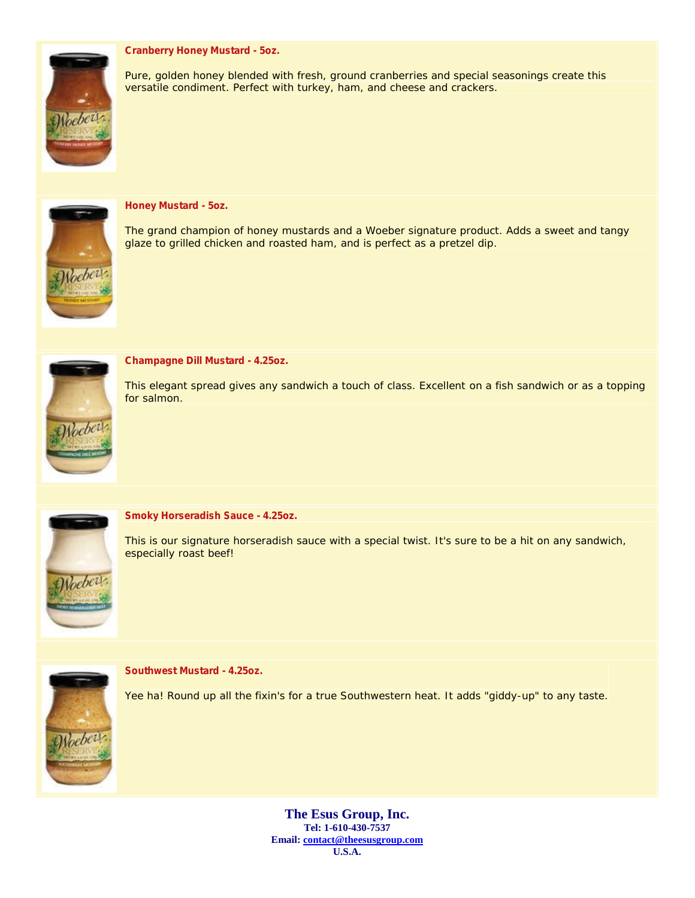## **Cranberry Honey Mustard - 5oz.**



Pure, golden honey blended with fresh, ground cranberries and special seasonings create this versatile condiment. Perfect with turkey, ham, and cheese and crackers.



## **Honey Mustard - 5oz.**

The grand champion of honey mustards and a Woeber signature product. Adds a sweet and tangy glaze to grilled chicken and roasted ham, and is perfect as a pretzel dip.



#### **Champagne Dill Mustard - 4.25oz.**

This elegant spread gives any sandwich a touch of class. Excellent on a fish sandwich or as a topping for salmon.



#### **Smoky Horseradish Sauce - 4.25oz.**

This is our signature horseradish sauce with a special twist. It's sure to be a hit on any sandwich, especially roast beef!



#### **Southwest Mustard - 4.25oz.**

Yee ha! Round up all the fixin's for a true Southwestern heat. It adds "giddy-up" to any taste.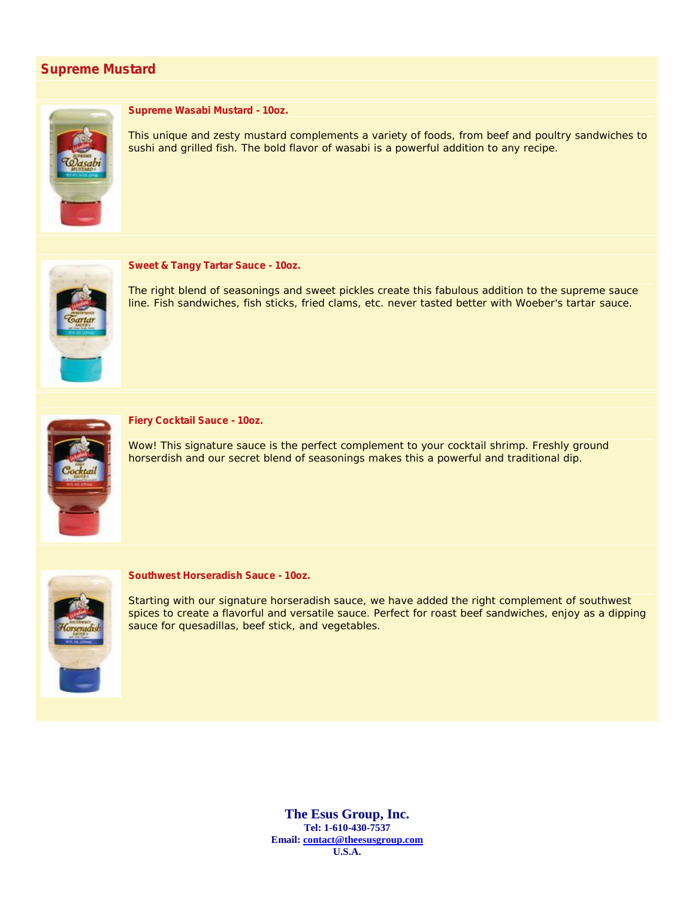## **Supreme Mustard**



## **Supreme Wasabi Mustard - 10oz.**

This unique and zesty mustard complements a variety of foods, from beef and poultry sandwiches to sushi and grilled fish. The bold flavor of wasabi is a powerful addition to any recipe.



### **Sweet & Tangy Tartar Sauce - 10oz.**

The right blend of seasonings and sweet pickles create this fabulous addition to the supreme sauce line. Fish sandwiches, fish sticks, fried clams, etc. never tasted better with Woeber's tartar sauce.



#### **Fiery Cocktail Sauce - 10oz.**

Wow! This signature sauce is the perfect complement to your cocktail shrimp. Freshly ground horserdish and our secret blend of seasonings makes this a powerful and traditional dip.



#### **Southwest Horseradish Sauce - 10oz.**

Starting with our signature horseradish sauce, we have added the right complement of southwest spices to create a flavorful and versatile sauce. Perfect for roast beef sandwiches, enjoy as a dipping sauce for quesadillas, beef stick, and vegetables.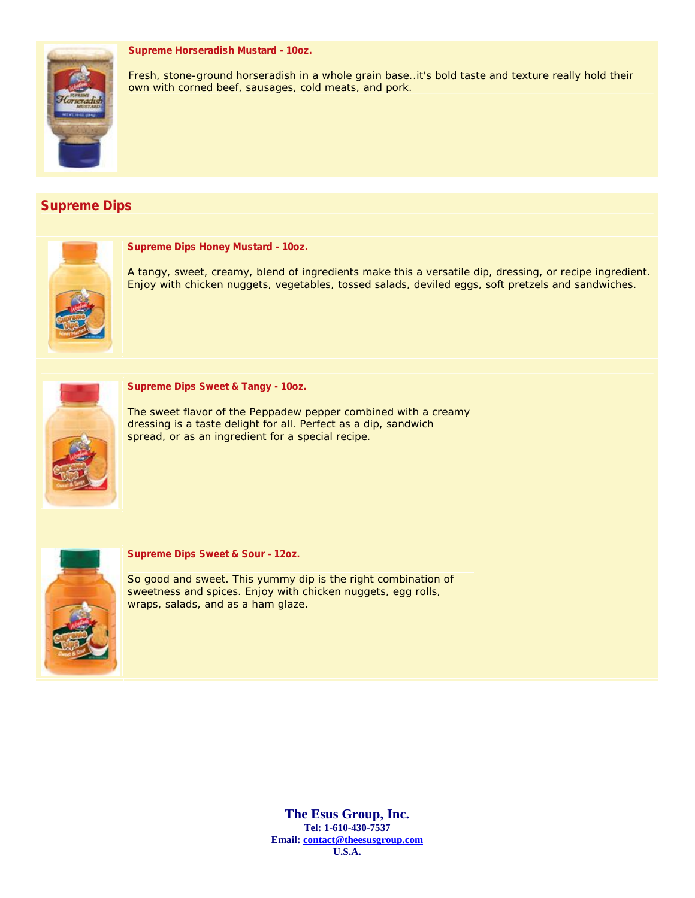## **Supreme Horseradish Mustard - 10oz.**



Fresh, stone-ground horseradish in a whole grain base..it's bold taste and texture really hold their own with corned beef, sausages, cold meats, and pork.

## **Supreme Dips**



## **Supreme Dips Honey Mustard - 10oz.**

A tangy, sweet, creamy, blend of ingredients make this a versatile dip, dressing, or recipe ingredient. Enjoy with chicken nuggets, vegetables, tossed salads, deviled eggs, soft pretzels and sandwiches.



## **Supreme Dips Sweet & Tangy - 10oz.**

The sweet flavor of the Peppadew pepper combined with a creamy dressing is a taste delight for all. Perfect as a dip, sandwich spread, or as an ingredient for a special recipe.



#### **Supreme Dips Sweet & Sour - 12oz.**

So good and sweet. This yummy dip is the right combination of sweetness and spices. Enjoy with chicken nuggets, egg rolls, wraps, salads, and as a ham glaze.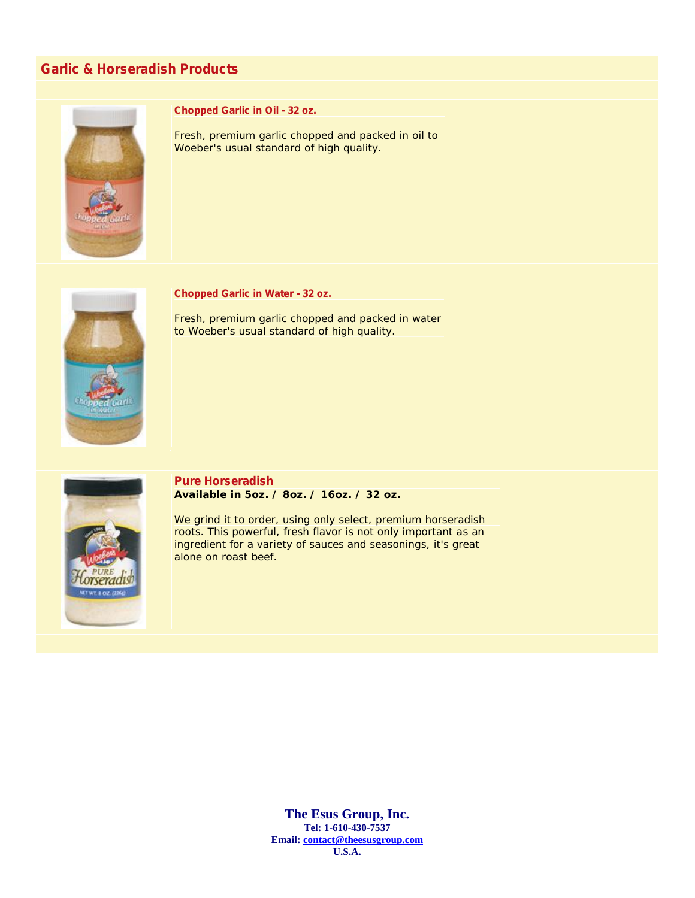## **Garlic & Horseradish Products**



**Chopped Garlic in Oil - 32 oz.**

Fresh, premium garlic chopped and packed in oil to Woeber's usual standard of high quality.



**Chopped Garlic in Water - 32 oz.**

Fresh, premium garlic chopped and packed in water to Woeber's usual standard of high quality.



**Pure Horseradish Available in 5oz. / 8oz. / 16oz. / 32 oz.**

We grind it to order, using only select, premium horseradish roots. This powerful, fresh flavor is not only important as an ingredient for a variety of sauces and seasonings, it's great alone on roast beef.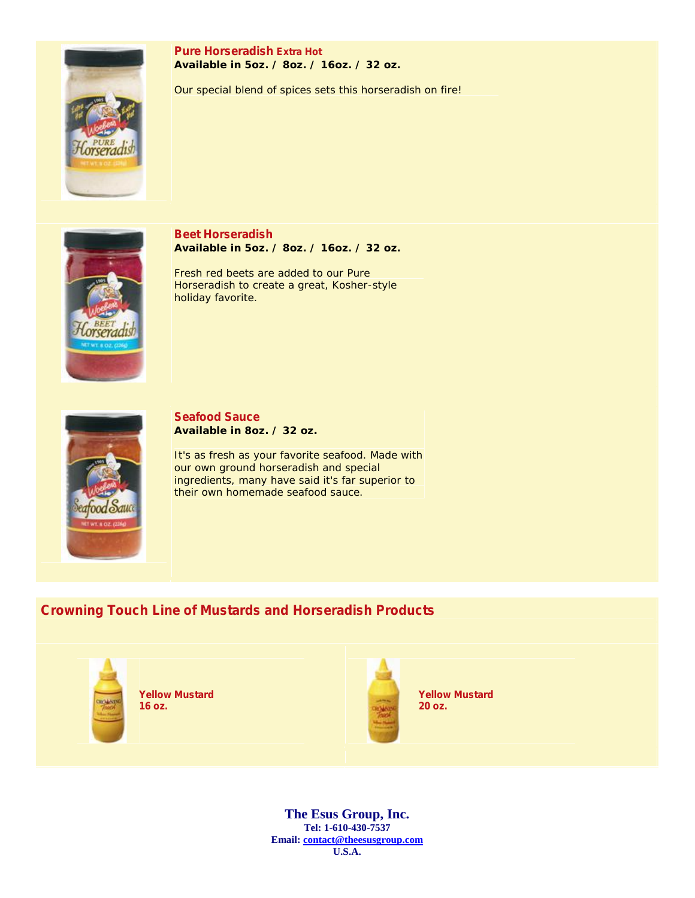

**Pure Horseradish Extra Hot Available in 5oz. / 8oz. / 16oz. / 32 oz.**

Our special blend of spices sets this horseradish on fire!



**Beet Horseradish Available in 5oz. / 8oz. / 16oz. / 32 oz.**

Fresh red beets are added to our Pure Horseradish to create a great, Kosher-style holiday favorite.



**Seafood Sauce Available in 8oz. / 32 oz.**

It's as fresh as your favorite seafood. Made with our own ground horseradish and special ingredients, many have said it's far superior to their own homemade seafood sauce.

## **Crowning Touch Line of Mustards and Horseradish Products**



**Yellow Mustard 16 oz.**



**Yellow Mustard 20 oz.**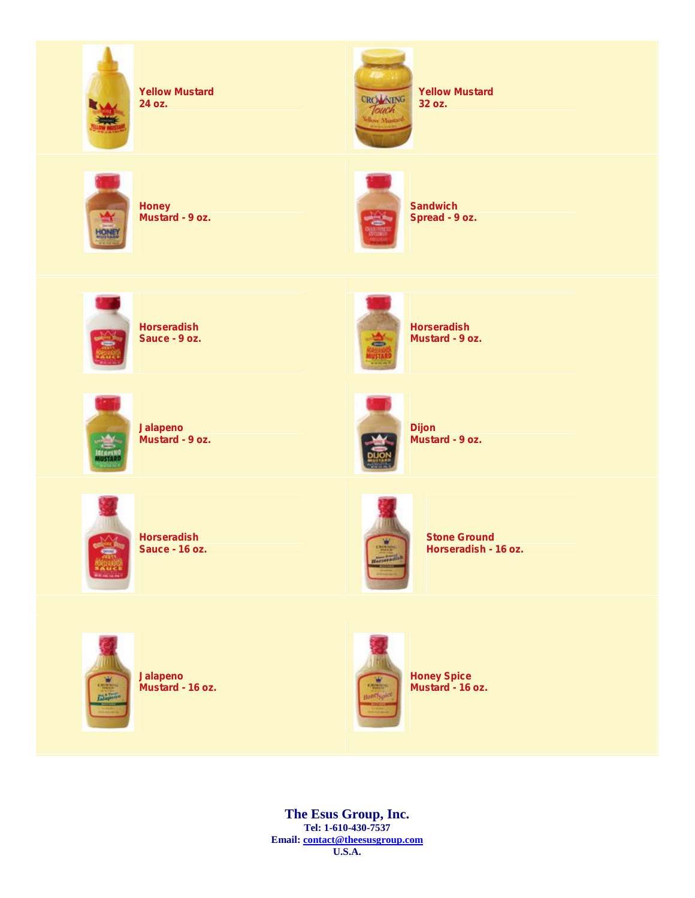

**Yellow Mustard 24 oz.**



**Honey Mustard - 9 oz.**



**Horseradish Sauce - 9 oz.**



**Jalapeno Mustard - 9 oz.**

**Horseradish Sauce - 16 oz.**



**Horseradish Mustard - 9 oz.**

**Dijon**



**Mustard - 9 oz.**



**Stone Ground Horseradish - 16 oz.**



**Jalapeno Mustard - 16 oz.**



**Honey Spice Mustard - 16 oz.**

**The Esus Group, Inc. Tel: 1-610-430-7537 Email: contact@theesusgroup.com U.S.A.**

**Yellow Mustard 32 oz.**



CROWNING Touch

**Sandwich Spread - 9 oz.**